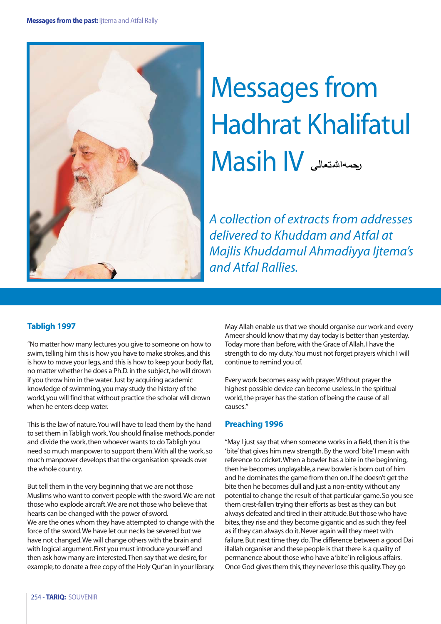

# Messages from Hadhrat Khalifatul Asih IV

*A collection of extracts from addresses delivered to Khuddam and Atfal at Majlis Khuddamul Ahmadiyya Ijtema's and Atfal Rallies.*

# **Tabligh 1997**

"No matter how many lectures you give to someone on how to swim, telling him this is how you have to make strokes, and this is how to move your legs, and this is how to keep your body flat, no matter whether he does a Ph.D. in the subject, he will drown if you throw him in the water. Just by acquiring academic knowledge of swimming, you may study the history of the world, you will find that without practice the scholar will drown when he enters deep water.

This is the law of nature.You will have to lead them by the hand to set them in Tabligh work.You should finalise methods, ponder and divide the work, then whoever wants to do Tabligh you need so much manpower to support them.With all the work, so much manpower develops that the organisation spreads over the whole country.

But tell them in the very beginning that we are not those Muslims who want to convert people with the sword.We are not those who explode aircraft.We are not those who believe that hearts can be changed with the power of sword. We are the ones whom they have attempted to change with the force of the sword.We have let our necks be severed but we have not changed.We will change others with the brain and with logical argument. First you must introduce yourself and then ask how many are interested.Then say that we desire, for example, to donate a free copy of the Holy Qur'an in your library.

May Allah enable us that we should organise our work and every Ameer should know that my day today is better than yesterday. Today more than before, with the Grace of Allah, I have the strength to do my duty.You must not forget prayers which I will continue to remind you of.

Every work becomes easy with prayer.Without prayer the highest possible device can become useless. In the spiritual world, the prayer has the station of being the cause of all causes."

# **Preaching 1996**

"May I just say that when someone works in a field, then it is the 'bite' that gives him new strength. By the word 'bite' I mean with reference to cricket.When a bowler has a bite in the beginning, then he becomes unplayable, a new bowler is born out of him and he dominates the game from then on. If he doesn't get the bite then he becomes dull and just a non-entity without any potential to change the result of that particular game. So you see them crest-fallen trying their efforts as best as they can but always defeated and tired in their attitude. But those who have bites, they rise and they become gigantic and as such they feel as if they can always do it. Never again will they meet with failure. But next time they do.The difference between a good Dai illallah organiser and these people is that there is a quality of permanence about those who have a 'bite'in religious affairs. Once God gives them this, they never lose this quality.They go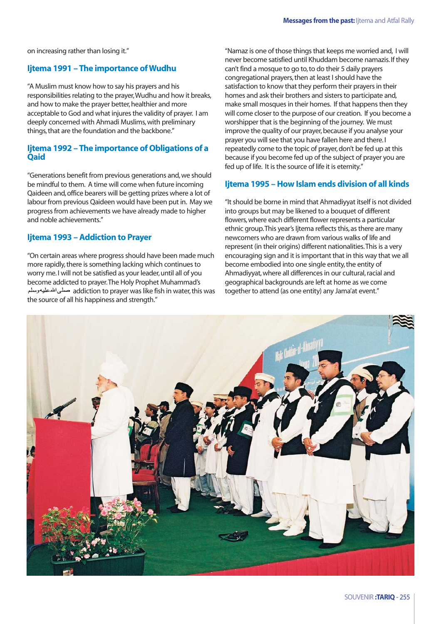on increasing rather than losing it."

### **Ijtema 1991 – The importance of Wudhu**

"A Muslim must know how to say his prayers and his responsibilities relating to the prayer,Wudhu and how it breaks, and how to make the prayer better, healthier and more acceptable to God and what injures the validity of prayer. I am deeply concerned with Ahmadi Muslims, with preliminary things, that are the foundation and the backbone."

## **Ijtema 1992 – The importance of Obligations of a Qaid**

"Generations benefit from previous generations and, we should be mindful to them. A time will come when future incoming Qaideen and, office bearers will be getting prizes where a lot of labour from previous Qaideen would have been put in. May we progress from achievements we have already made to higher and noble achievements."

### **Ijtema 1993 – Addiction to Prayer**

"On certain areas where progress should have been made much more rapidly, there is something lacking which continues to worry me. I will not be satisfied as your leader, until all of you become addicted to prayer.The Holy Prophet Muhammad's addiction to prayer was like fish in water, this was the source of all his happiness and strength."

"Namaz is one of those things that keeps me worried and, I will never become satisfied until Khuddam become namazis. If they can't find a mosque to go to, to do their 5 daily prayers congregational prayers, then at least I should have the satisfaction to know that they perform their prayers in their homes and ask their brothers and sisters to participate and, make small mosques in their homes. If that happens then they will come closer to the purpose of our creation. If you become a worshipper that is the beginning of the journey. We must improve the quality of our prayer, because if you analyse your prayer you will see that you have fallen here and there. I repeatedly come to the topic of prayer, don't be fed up at this because if you become fed up of the subject of prayer you are fed up of life. It is the source of life it is eternity."

## **Ijtema 1995 – How Islam ends division of all kinds**

"It should be borne in mind that Ahmadiyyat itself is not divided into groups but may be likened to a bouquet of different flowers, where each different flower represents a particular ethnic group.This year's Ijtema reflects this, as there are many newcomers who are drawn from various walks of life and represent (in their origins) different nationalities.This is a very encouraging sign and it is important that in this way that we all become embodied into one single entity, the entity of Ahmadiyyat, where all differences in our cultural, racial and geographical backgrounds are left at home as we come together to attend (as one entity) any Jama'at event."

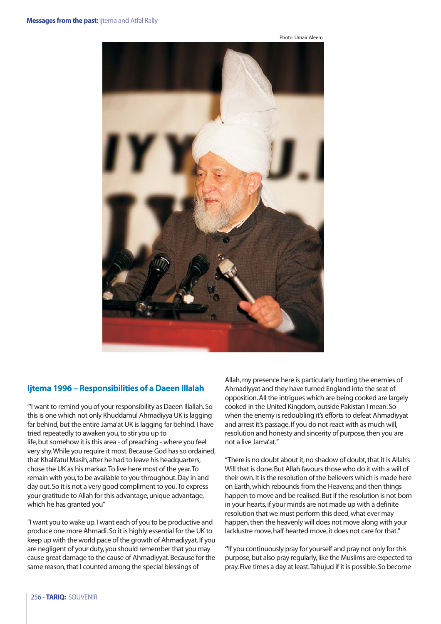



# **Ijtema 1996 – Responsibilities of a Daeen Illalah**

"'I want to remind you of your responsibility as Daeen Illallah. So this is one which not only Khuddamul Ahmadiyya UK is lagging far behind, but the entire Jama'at UK is lagging far behind. I have tried repeatedly to awaken you, to stir you up to life, but somehow it is this area - of preaching - where you feel very shy.While you require it most. Because God has so ordained, that Khalifatul Masih, after he had to leave his headquarters, chose the UK as his markaz.To live here most of the year.To remain with you, to be available to you throughout. Day in and day out. So it is not a very good compliment to you.To express your gratitude to Allah for this advantage, unique advantage, which he has granted you"

"I want you to wake up. I want each of you to be productive and produce one more Ahmadi. So it is highly essential for the UK to keep up with the world pace of the growth of Ahmadiyyat. If you are negligent of your duty, you should remember that you may cause great damage to the cause of Ahmadiyyat. Because for the same reason, that I counted among the special blessings of

Allah, my presence here is particularly hurting the enemies of Ahmadiyyat and they have turned England into the seat of opposition. All the intrigues which are being cooked are largely cooked in the United Kingdom, outside Pakistan I mean. So when the enemy is redoubling it's efforts to defeat Ahmadiyyat and arrest it's passage. If you do not react with as much will, resolution and honesty and sincerity of purpose, then you are not a live Jama'at."

"There is no doubt about it, no shadow of doubt, that it is Allah's Will that is done. But Allah favours those who do it with a will of their own. It is the resolution of the believers which is made here on Earth, which rebounds from the Heavens; and then things happen to move and be realised. But if the resolution is not born in your hearts, if your minds are not made up with a definite resolution that we must perform this deed, what ever may happen, then the heavenly will does not move along with your lacklustre move, half hearted move, it does not care for that."

**"**If you continuously pray for yourself and pray not only for this purpose, but also pray regularly, like the Muslims are expected to pray. Five times a day at least.Tahujud if it is possible. So become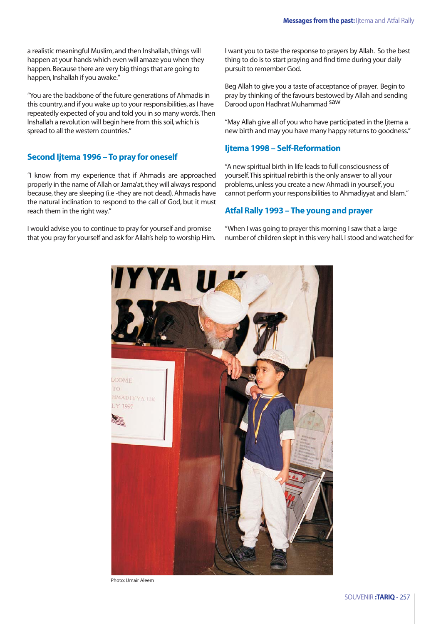a realistic meaningful Muslim, and then Inshallah, things will happen at your hands which even will amaze you when they happen. Because there are very big things that are going to happen, Inshallah if you awake."

"You are the backbone of the future generations of Ahmadis in this country, and if you wake up to your responsibilities, as I have repeatedly expected of you and told you in so many words.Then lnshallah a revolution will begin here from this soil, which is spread to all the western countries."

### **Second Ijtema 1996 – To pray for oneself**

"I know from my experience that if Ahmadis are approached properly in the name of Allah or Jama'at, they will always respond because, they are sleeping (i.e -they are not dead). Ahmadis have the natural inclination to respond to the call of God, but it must reach them in the right way."

I would advise you to continue to pray for yourself and promise that you pray for yourself and ask for Allah's help to worship Him. I want you to taste the response to prayers by Allah. So the best thing to do is to start praying and find time during your daily pursuit to remember God.

Beg Allah to give you a taste of acceptance of prayer. Begin to pray by thinking of the favours bestowed by Allah and sending Darood upon Hadhrat Muhammad Saw

"May Allah give all of you who have participated in the Ijtema a new birth and may you have many happy returns to goodness."

# **Ijtema 1998 – Self-Reformation**

"A new spiritual birth in life leads to full consciousness of yourself.This spiritual rebirth is the only answer to all your problems, unless you create a new Ahmadi in yourself, you cannot perform your responsibilities to Ahmadiyyat and Islam."

# **Atfal Rally 1993 – The young and prayer**

"When I was going to prayer this morning I saw that a large number of children slept in this very hall. I stood and watched for



Photo: Umair Aleem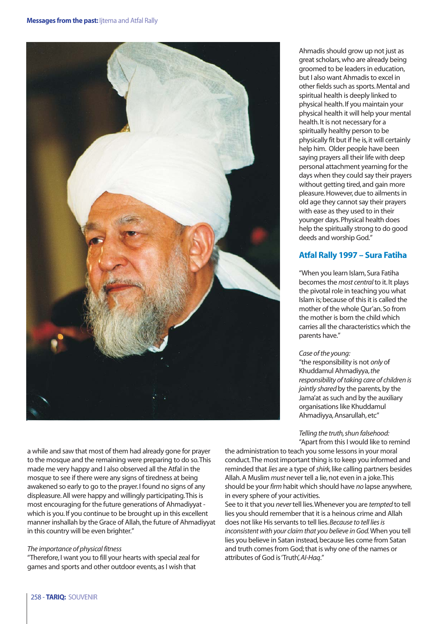

a while and saw that most of them had already gone for prayer to the mosque and the remaining were preparing to do so.This made me very happy and I also observed all the Atfal in the mosque to see if there were any signs of tiredness at being awakened so early to go to the prayer. I found no signs of any displeasure. All were happy and willingly participating.This is most encouraging for the future generations of Ahmadiyyat which is you. If you continue to be brought up in this excellent manner inshallah by the Grace of Allah, the future of Ahmadiyyat in this country will be even brighter."

#### *The importance of physical fitness*

"Therefore, I want you to fill your hearts with special zeal for games and sports and other outdoor events, as I wish that

Ahmadis should grow up not just as great scholars, who are already being groomed to be leaders in education, but I also want Ahmadis to excel in other fields such as sports. Mental and spiritual health is deeply linked to physical health. If you maintain your physical health it will help your mental health. It is not necessary for a spiritually healthy person to be physically fit but if he is, it will certainly help him. Older people have been saying prayers all their life with deep personal attachment yearning for the days when they could say their prayers without getting tired, and gain more pleasure. However, due to ailments in old age they cannot say their prayers with ease as they used to in their younger days. Physical health does help the spiritually strong to do good deeds and worship God."

# **Atfal Rally 1997 – Sura Fatiha**

"When you learn Islam, Sura Fatiha becomes the *most central* to it. It plays the pivotal role in teaching you what Islam is; because of this it is called the mother of the whole Qur'an. So from the mother is born the child which carries all the characteristics which the parents have."

#### *Case of the young:*

"the responsibility is not *only* of Khuddamul Ahmadiyya,*the responsibility of taking care of children is jointly shared* by the parents, by the Jama'at as such and by the auxiliary organisations like Khuddamul Ahmadiyya, Ansarullah, etc"

*Telling the truth, shun falsehood:* "Apart from this I would like to remind

the administration to teach you some lessons in your moral conduct.The most important thing is to keep you informed and reminded that *lies* are a type of *shirk,*like calling partners besides Allah. A Muslim *must* never tell a lie, not even in a joke.This should be your *firm* habit which should have *no* lapse anywhere, in every sphere of your activities.

See to it that you *never* tell lies.Whenever you are *tempted* to tell lies you should remember that it is a heinous crime and Allah does not like His servants to tell lies.*Because to tell lies is inconsistent with your claim that you believe in God.*When you tell lies you believe in Satan instead, because lies come from Satan and truth comes from God; that is why one of the names or attributes of God is 'Truth',*AI-Haq*."